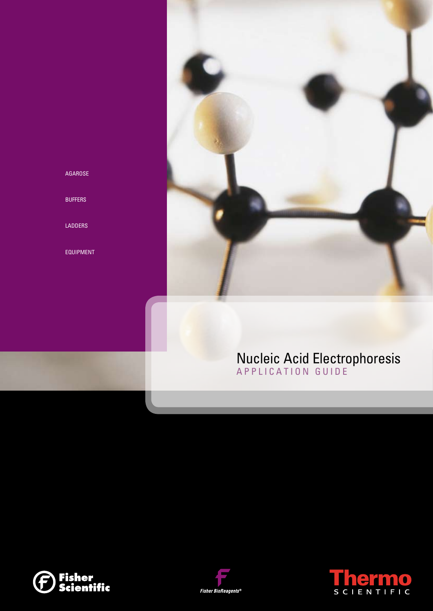

## AGAROSE

BUFFERS

LADDERS

EQUIPMENT

## Nucleic Acid Electrophoresis APPLICATION GUIDE





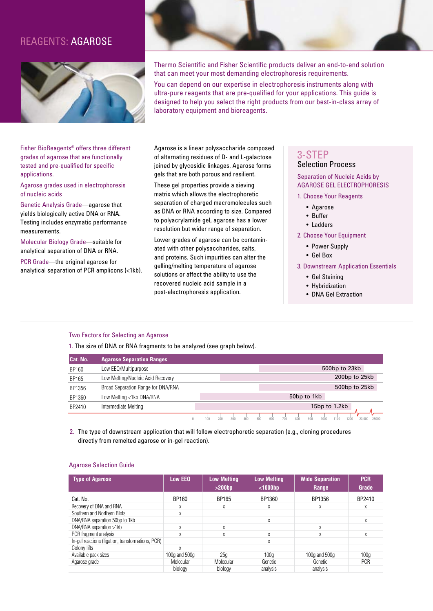## Reagents: Agarose



Fisher BioReagents® offers three different grades of agarose that are functionally tested and pre-qualified for specific applications.

Agarose grades used in electrophoresis of nucleic acids

Genetic Analysis Grade—agarose that yields biologically active DNA or RNA. Testing includes enzymatic performance measurements.

Molecular Biology Grade—suitable for analytical separation of DNA or RNA.

PCR Grade—the original agarose for analytical separation of PCR amplicons (<1kb).



Thermo Scientific and Fisher Scientific products deliver an end-to-end solution that can meet your most demanding electrophoresis requirements.

You can depend on our expertise in electrophoresis instruments along with ultra-pure reagents that are pre-qualified for your applications. This guide is designed to help you select the right products from our best-in-class array of laboratory equipment and bioreagents.

Agarose is a linear polysaccharide composed of alternating residues of D- and L-galactose joined by glycosidic linkages. Agarose forms gels that are both porous and resilient.

These gel properties provide a sieving matrix which allows the electrophoretic separation of charged macromolecules such as DNA or RNA according to size. Compared to polyacrylamide gel, agarose has a lower resolution but wider range of separation.

Lower grades of agarose can be contaminated with other polysaccharides, salts, and proteins. Such impurities can alter the gelling/melting temperature of agarose solutions or affect the ability to use the recovered nucleic acid sample in a post-electrophoresis application.

## 3-Step Selection Process

#### Separation of Nucleic Acids by AGAROSE GEL ELECTROPHORESIS

- 1. Choose Your Reagents
	- Agarose
	- Buffer
	- Ladders

2. Choose Your Equipment

- Power Supply
- Gel Box

3. Downstream Application Essentials

- Gel Staining
- Hybridization
- DNA Gel Extraction

#### Two Factors for Selecting an Agarose

1. The size of DNA or RNA fragments to be analyzed (see graph below).

| Cat. No. | <b>Agarose Separation Ranges</b>   |     |     |     |     |     |     |     |                         |     |               |               |      |               |       |
|----------|------------------------------------|-----|-----|-----|-----|-----|-----|-----|-------------------------|-----|---------------|---------------|------|---------------|-------|
| BP160    | Low EEO/Multipurpose               |     |     |     |     |     |     |     |                         |     |               | 500bp to 23kb |      |               |       |
| BP165    | Low Melting/Nucleic Acid Recovery  |     |     |     |     |     |     |     |                         |     |               |               |      | 200bp to 25kb |       |
| BP1356   | Broad Separation Range for DNA/RNA |     |     |     |     |     |     |     |                         |     |               |               |      | 500bp to 25kb |       |
| BP1360   | Low Melting <1kb DNA/RNA           |     |     |     |     |     |     |     | 50 <sub>bp</sub> to 1kb |     |               |               |      |               |       |
| BP2410   | Intermediate Melting               |     |     |     |     |     |     |     |                         |     | 15bp to 1.2kb |               |      |               |       |
|          |                                    | 100 | ZUU | 300 | 400 | 500 | 600 | 700 | 800                     | 900 | 1000          | 1100          | 1200 | 23.000        | 25000 |

2. The type of downstream application that will follow electrophoretic separation (e.g., cloning procedures directly from remelted agarose or in-gel reaction).

#### Agarose Selection Guide

| <b>Type of Agarose</b>                            | <b>Low EEO</b>      | <b>Low Melting</b><br>>200bp | <b>Low Melting</b><br>$1000bp$ | <b>Wide Separation</b><br>Range | <b>PCR</b><br>Grade |
|---------------------------------------------------|---------------------|------------------------------|--------------------------------|---------------------------------|---------------------|
| Cat. No.                                          | BP160               | BP165                        | BP1360                         | BP1356                          | BP2410              |
| Recovery of DNA and RNA                           | X                   | X                            | X                              | Χ                               | X                   |
| Southern and Northern Blots                       | X                   |                              |                                |                                 |                     |
| DNA/RNA separation 50bp to 1kb                    |                     |                              | X                              |                                 | X                   |
| DNA/RNA separation >1kb                           | X                   | X                            |                                | X                               |                     |
| PCR fragment analysis                             | X                   | X                            | X                              | χ                               | X                   |
| In-gel reactions (ligation, transformations, PCR) |                     |                              | X                              |                                 |                     |
| Colony lifts                                      | X                   |                              |                                |                                 |                     |
| Available pack sizes                              | 100 $q$ and 500 $q$ | 25 <sub>0</sub>              | 100a                           | 100 $q$ and 500 $q$             | 100 <sub>a</sub>    |
| Agarose grade                                     | Molecular           | Molecular                    | Genetic                        | Genetic                         | <b>PCR</b>          |
|                                                   | biology             | biology                      | analysis                       | analysis                        |                     |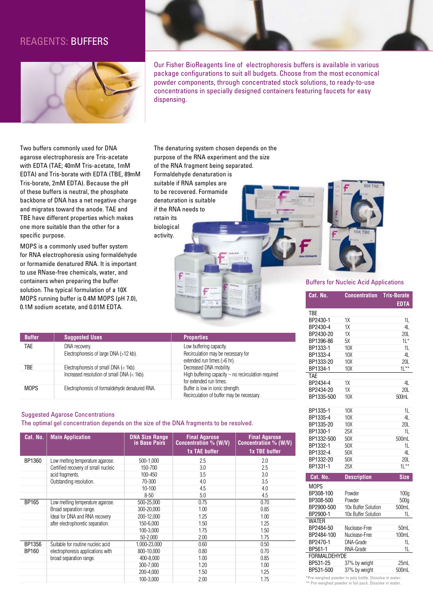## Reagents: Buffers



Our Fisher BioReagents line of electrophoresis buffers is available in various package configurations to suit all budgets. Choose from the most economical powder components, through concentrated stock solutions, to ready-to-use concentrations in specially designed containers featuring faucets for easy dispensing.

Two buffers commonly used for DNA agarose electrophoresis are Tris-acetate with EDTA (TAE; 40mM Tris-acetate, 1mM EDTA) and Tris-borate with EDTA (TBE, 89mM Tris-borate, 2mM EDTA). Because the pH of these buffers is neutral, the phosphate backbone of DNA has a net negative charge and migrates toward the anode. TAE and TBE have different properties which makes one more suitable than the other for a specific purpose.

MOPS is a commonly used buffer system for RNA electrophoresis using formaldehyde or formamide denatured RNA. It is important to use RNase-free chemicals, water, and containers when preparing the buffer solution. The typical formulation of a 10X MOPS running buffer is 0.4M MOPS (pH 7.0), 0.1M sodium acetate, and 0.01M EDTA.

The denaturing system chosen depends on the purpose of the RNA experiment and the size of the RNA fragment being separated. Formaldehyde denaturation is suitable if RNA samples are to be recovered. Formamide denaturation is suitable if the RNA needs to retain its biological activity.



## **Cat. No. Concentration Tris-Borate** Buffers for Nucleic Acid Applications

| <b>Buffer</b> | <b>Suggested Uses</b>                                   | <b>Properties</b>                                                                            |
|---------------|---------------------------------------------------------|----------------------------------------------------------------------------------------------|
| <b>TAE</b>    | DNA recovery.<br>Electrophoresis of large DNA (>12 kb). | Low buffering capacity.<br>Recirculation may be necessary for<br>extended run times (>6 hr). |
| TBE.          | Electrophoresis of small DNA $\left($ < 1kb).           | Decreased DNA mobility.                                                                      |
|               | Increased resolution of small DNA (< 1kb).              | High buffering capacity $-$ no recirculation required<br>for extended run times.             |
| <b>MOPS</b>   | Electrophoresis of formaldehyde denatured RNA.          | Buffer is low in ionic strength.<br>Recirculation of buffer may be necessary.                |

#### Suggested Agarose Concentrations

The optimal gel concentration depends on the size of the DNA fragments to be resolved.

| Cat. No. | <b>Main Application</b>             | <b>DNA Size Range</b><br>in Base Pairs | <b>Final Agarose</b><br>Concentration % (W/V)<br><b>1x TAE buffer</b> | <b>Final Agarose</b><br>Concentration % (W/V)<br>1x TBE buffer |
|----------|-------------------------------------|----------------------------------------|-----------------------------------------------------------------------|----------------------------------------------------------------|
|          |                                     |                                        |                                                                       |                                                                |
| BP1360   | Low melting temperature agarose.    | 500-1,000                              | 2.5                                                                   | 2.0                                                            |
|          | Certified recovery of small nucleic | 150-700                                | 3.0                                                                   | 2.5                                                            |
|          | acid fragments.                     | 100-450                                | 3.5                                                                   | 3.0                                                            |
|          | Outstanding resolution.             | 70-300                                 | 4.0                                                                   | 3.5                                                            |
|          |                                     | $10 - 100$                             | 4.5                                                                   | 4.0                                                            |
|          |                                     | $8 - 50$                               | 5.0                                                                   | 4.5                                                            |
| BP165    | Low melting temperature agarose.    | 500-25.000                             | 0.75                                                                  | 0.70                                                           |
|          | Broad separation range.             | 300-20.000                             | 1.00                                                                  | 0.85                                                           |
|          | Ideal for DNA and RNA recovery      | 200-12.000                             | 1.25                                                                  | 1.00                                                           |
|          | after electrophoretic separation.   | 150-6.000                              | 1.50                                                                  | 1.25                                                           |
|          |                                     | 100-3.000                              | 1.75                                                                  | 1.50                                                           |
|          |                                     | 50-2.000                               | 2.00                                                                  | 1.75                                                           |
| BP1356   | Suitable for routine nucleic acid   | 1,000-23,000                           | 0.60                                                                  | 0.50                                                           |
| BP160    | electrophoresis applications with   | 800-10.000                             | 0.80                                                                  | 0.70                                                           |
|          | broad separation range.             | 400-8.000                              | 1.00                                                                  | 0.85                                                           |
|          |                                     | 300-7.000                              | 1.20                                                                  | 1.00                                                           |
|          |                                     | 200-4,000                              | 1.50                                                                  | 1.25                                                           |
|          |                                     | 100-3.000                              | 2.00                                                                  | 1.75                                                           |

|                                                      |                     | <b>EDTA</b>      |  |  |  |
|------------------------------------------------------|---------------------|------------------|--|--|--|
| TBE                                                  |                     |                  |  |  |  |
| BP2430-1                                             | 1X                  | 1L               |  |  |  |
| BP2430-4                                             | 1X                  | 4L               |  |  |  |
| BP2430-20                                            | 1X                  | 20L              |  |  |  |
| BP1396-86                                            | 5X                  | $11*$            |  |  |  |
| BP1333-1                                             | 10X                 | 1L               |  |  |  |
| BP1333-4                                             | 10 <sub>X</sub>     | 4L               |  |  |  |
| BP1333-20                                            | 10X                 | 20L              |  |  |  |
| BP1334-1                                             | 10X                 | $11***$          |  |  |  |
| TAE                                                  |                     |                  |  |  |  |
| BP2434-4                                             | 1X                  | 4L               |  |  |  |
| BP2434-20                                            | 1X                  | <b>20L</b>       |  |  |  |
| BP1335-500                                           | 10X                 | 500mL            |  |  |  |
| BP1335-1                                             | 10X                 | 1L               |  |  |  |
| BP1335-4                                             | 10X                 | 4L               |  |  |  |
| BP1335-20                                            | 10 <sub>X</sub>     | 20L              |  |  |  |
| BP1330-1                                             | 25X                 | 1L               |  |  |  |
| BP1332-500                                           | 50X                 | 500mL            |  |  |  |
| BP1332-1                                             | 50X                 | 11.              |  |  |  |
| BP1332-4                                             | 50X                 | 4L               |  |  |  |
| BP1332-20                                            | 50X                 | <b>20L</b>       |  |  |  |
| BP1331-1                                             | 25X                 | $11***$          |  |  |  |
| Cat. No.                                             | <b>Description</b>  | <b>Size</b>      |  |  |  |
| <b>MOPS</b>                                          |                     |                  |  |  |  |
| BP308-100                                            | Powder              | 100 <sub>a</sub> |  |  |  |
| BP308-500                                            | Powder              | 500g             |  |  |  |
| BP2900-500                                           | 10x Buffer Solution | 500mL            |  |  |  |
| BP2900-1                                             | 10x Buffer Solution | 1L               |  |  |  |
| <b>WATER</b>                                         |                     |                  |  |  |  |
| BP2484-50                                            | Nuclease-Free       | 50 <sub>mL</sub> |  |  |  |
| BP2484-100                                           | Nuclease-Free       | 100mL            |  |  |  |
| BP2470-1                                             | DNA-Grade           | 1L               |  |  |  |
| BP561-1                                              | RNA-Grade           | 1L               |  |  |  |
| <b>FORMALDEHYDE</b>                                  |                     |                  |  |  |  |
| BP531-25                                             | 37% by weight       | 25mL             |  |  |  |
| BP531-500                                            | 37% by weight       | 500mL            |  |  |  |
| Pre-weighed nowder in noly bottle. Dissolve in water |                     |                  |  |  |  |

\*Pre-weighed powder in poly bottle. Dissolve in water. \*\* Pre-weighed powder in foil pack. Dissolve in water.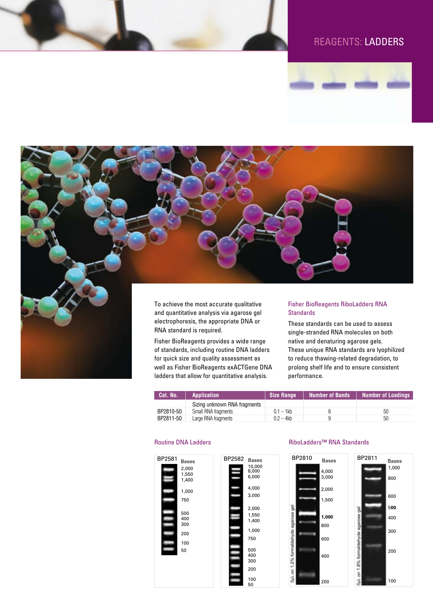## Reagents: LADDERS





and quantitative analysis via agarose gel electrophoresis, the appropriate DNA or RNA standard is required.

Fisher BioReagents provides a wide range of standards, including routine DNA ladders for quick size and quality assessment as well as Fisher BioReagents exACTGene DNA ladders that allow for quantitative analysis.

BP2582

10,000 8,000  $6,000$ 4,000 3,000 2,000 1,550 1,400 1,000 750 500 400 300 200 100 50

# **Standards**

These standards can be used to assess single-stranded RNA molecules on both native and denaturing agarose gels. These unique RNA standards are lyophilized to reduce thawing-related degradation, to prolong shelf life and to ensure consistent performance.

| Cat. No.  | <b>Application</b>           | Size Range   | <b>Number of Bands</b> | <b>Number of Loadings</b> |
|-----------|------------------------------|--------------|------------------------|---------------------------|
|           | Sizing unknown RNA fragments |              |                        |                           |
| BP2810-50 | Small RNA fragments          | $0.1 - 1$ kb |                        | 50                        |
| BP2811-50 | Large RNA fragments          | $0.2 - 4kb$  |                        | 50                        |



#### Routine DNA Ladders RiboLadders™ RNA Standards

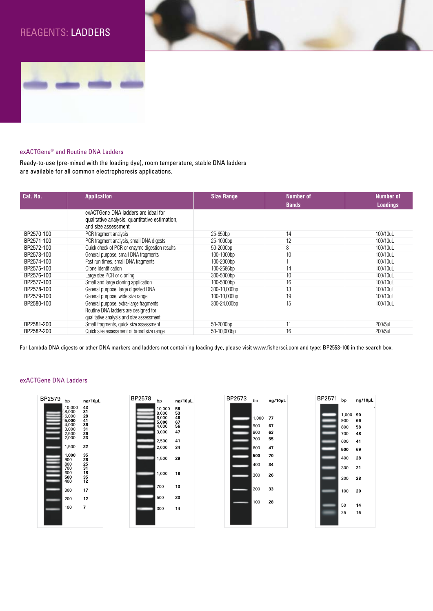## Reagents: LADDERS



## exACTGene® and Routine DNA Ladders

Ready-to-use (pre-mixed with the loading dye), room temperature, stable DNA ladders are available for all common electrophoresis applications.

| Cat. No.   | <b>Application</b>                                                                                           | <b>Size Range</b> | <b>Number of</b> | <b>Number of</b> |
|------------|--------------------------------------------------------------------------------------------------------------|-------------------|------------------|------------------|
|            |                                                                                                              |                   | <b>Bands</b>     | <b>Loadings</b>  |
|            | exACTGene DNA ladders are ideal for<br>qualitative analysis, quantitative estimation,<br>and size assessment |                   |                  |                  |
| BP2570-100 | PCR fragment analysis                                                                                        | 25-650bp          | 14               | 100/10uL         |
| BP2571-100 | PCR fragment analysis, small DNA digests                                                                     | 25-1000bp         | 12               | 100/10uL         |
| BP2572-100 | Quick check of PCR or enzyme digestion results                                                               | 50-2000bp         | 8                | 100/10uL         |
| BP2573-100 | General purpose, small DNA fragments                                                                         | 100-1000bp        | 10               | 100/10uL         |
| BP2574-100 | Fast run times, small DNA fragments                                                                          | 100-2000bp        |                  | 100/10uL         |
| BP2575-100 | Clone identification                                                                                         | 100-2686bp        | 14               | 100/10uL         |
| BP2576-100 | Large size PCR or cloning                                                                                    | 300-5000bp        | 10               | 100/10uL         |
| BP2577-100 | Small and large cloning application                                                                          | 100-5000bp        | 16               | 100/10uL         |
| BP2578-100 | General purpose, large digested DNA                                                                          | 300-10,000bp      | 13               | 100/10uL         |
| BP2579-100 | General purpose, wide size range                                                                             | 100-10,000bp      | 19               | 100/10uL         |
| BP2580-100 | General purpose, extra-large fragments                                                                       | 300-24,000bp      | 15               | 100/10uL         |
|            | Routine DNA ladders are designed for<br>qualitative analysis and size assessment                             |                   |                  |                  |
| BP2581-200 | Small fragments, quick size assessment                                                                       | 50-2000bp         | 11               | 200/5uL          |
| BP2582-200 | Quick size assessment of broad size range                                                                    | 50-10,000bp       | 16               | 200/5uL          |

For Lambda DNA digests or other DNA markers and ladders not containing loading dye, please visit www.fishersci.com and type: BP2553-100 in the search box.

# BP2579 bp **ng/10µL** 10,000 **43** 8,000 **31** 6,000 **28 5,000 41** 4,000 **36** 3,000 **31** 2,500 **26** 2,000 **23** 1,500 **22 1,000 35** 900 **26** 800 **25** 700 **31** <sup>600</sup> **<sup>18</sup> <sup>500</sup> <sup>35</sup>** <sup>400</sup> **<sup>12</sup>** 300 **17** 200 **12** 100 **7**





| BP2571 | bp    | ng/10µL |
|--------|-------|---------|
|        |       |         |
|        | 1,000 | 90      |
|        | 900   | 66      |
|        | 800   | 58      |
|        | 700   | 48      |
|        | 600   | 41      |
|        | 500   | 69      |
|        | 400   | 28      |
|        | 300   | 21      |
|        | 200   | 28      |
|        | 100   | 20      |
|        | 50    | 14      |
|        | 25    | 15      |
|        |       |         |

### exACTGene DNA Ladders